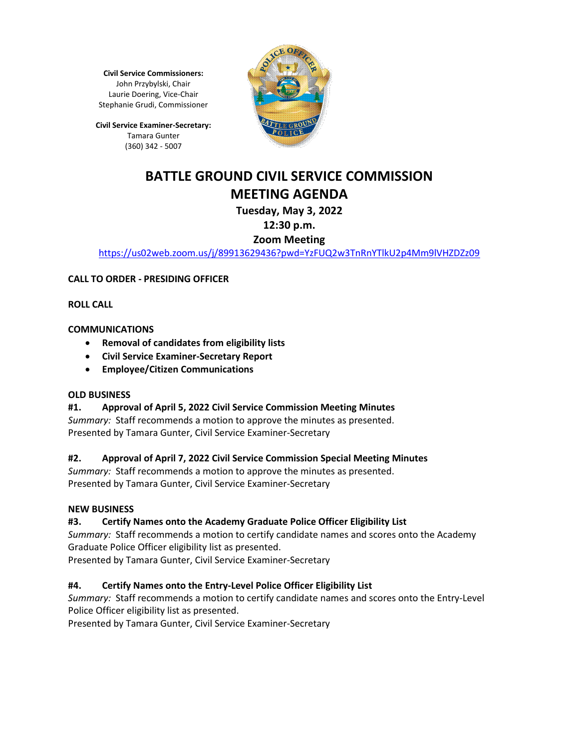**Civil Service Commissioners:** John Przybylski, Chair Laurie Doering, Vice-Chair Stephanie Grudi, Commissioner

**Civil Service Examiner-Secretary:** Tamara Gunter (360) 342 - 5007



# **BATTLE GROUND CIVIL SERVICE COMMISSION MEETING AGENDA**

# **Tuesday, May 3, 2022**

## **12:30 p.m.**

## **Zoom Meeting**

<https://us02web.zoom.us/j/89913629436?pwd=YzFUQ2w3TnRnYTlkU2p4Mm9lVHZDZz09>

## **CALL TO ORDER - PRESIDING OFFICER**

**ROLL CALL**

## **COMMUNICATIONS**

- **Removal of candidates from eligibility lists**
- **Civil Service Examiner-Secretary Report**
- **Employee/Citizen Communications**

#### **OLD BUSINESS**

## **#1. Approval of April 5, 2022 Civil Service Commission Meeting Minutes**

*Summary:* Staff recommends a motion to approve the minutes as presented. Presented by Tamara Gunter, Civil Service Examiner-Secretary

## **#2. Approval of April 7, 2022 Civil Service Commission Special Meeting Minutes**

*Summary:* Staff recommends a motion to approve the minutes as presented. Presented by Tamara Gunter, Civil Service Examiner-Secretary

## **NEW BUSINESS**

## **#3. Certify Names onto the Academy Graduate Police Officer Eligibility List**

*Summary:* Staff recommends a motion to certify candidate names and scores onto the Academy Graduate Police Officer eligibility list as presented.

Presented by Tamara Gunter, Civil Service Examiner-Secretary

## **#4. Certify Names onto the Entry-Level Police Officer Eligibility List**

*Summary:* Staff recommends a motion to certify candidate names and scores onto the Entry-Level Police Officer eligibility list as presented.

Presented by Tamara Gunter, Civil Service Examiner-Secretary